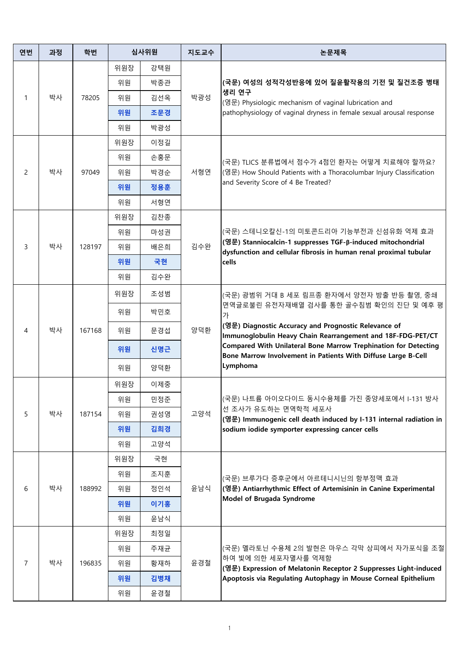| 연번             | 과정 | 학번     | 심사위원 |     | 지도교수 | 논문제목                                                                                                                                                                                                                                                                                                                                                              |
|----------------|----|--------|------|-----|------|-------------------------------------------------------------------------------------------------------------------------------------------------------------------------------------------------------------------------------------------------------------------------------------------------------------------------------------------------------------------|
| 1              | 박사 | 78205  | 위원장  | 강택원 | 박광성  | (국문) 여성의 성적각성반응에 있어 질윤활작용의 기전 및 질건조증 병태<br>생리 연구<br>(영문) Physiologic mechanism of vaginal lubrication and<br>pathophysiology of vaginal dryness in female sexual arousal response                                                                                                                                                                                 |
|                |    |        | 위원   | 박종관 |      |                                                                                                                                                                                                                                                                                                                                                                   |
|                |    |        | 위원   | 김선옥 |      |                                                                                                                                                                                                                                                                                                                                                                   |
|                |    |        | 위원   | 조문경 |      |                                                                                                                                                                                                                                                                                                                                                                   |
|                |    |        | 위원   | 박광성 |      |                                                                                                                                                                                                                                                                                                                                                                   |
| 2              | 박사 | 97049  | 위원장  | 이정길 | 서형연  | (국문) TLICS 분류법에서 점수가 4점인 환자는 어떻게 치료해야 할까요?<br>(영문) How Should Patients with a Thoracolumbar Injury Classification<br>and Severity Score of 4 Be Treated?                                                                                                                                                                                                          |
|                |    |        | 위원   | 손홍문 |      |                                                                                                                                                                                                                                                                                                                                                                   |
|                |    |        | 위원   | 박경순 |      |                                                                                                                                                                                                                                                                                                                                                                   |
|                |    |        | 위원   | 정용훈 |      |                                                                                                                                                                                                                                                                                                                                                                   |
|                |    |        | 위원   | 서형연 |      |                                                                                                                                                                                                                                                                                                                                                                   |
| 3              | 박사 | 128197 | 위원장  | 김찬종 | 김수완  | (국문) 스테니오칼신-1의 미토콘드리아 기능부전과 신섬유화 억제 효과<br> (영문) Stanniocalcin-1 suppresses TGF-β-induced mitochondrial<br>dysfunction and cellular fibrosis in human renal proximal tubular<br>cells                                                                                                                                                                              |
|                |    |        | 위원   | 마성권 |      |                                                                                                                                                                                                                                                                                                                                                                   |
|                |    |        | 위원   | 배은희 |      |                                                                                                                                                                                                                                                                                                                                                                   |
|                |    |        | 위원   | 국현  |      |                                                                                                                                                                                                                                                                                                                                                                   |
|                |    |        | 위원   | 김수완 |      |                                                                                                                                                                                                                                                                                                                                                                   |
| 4              | 박사 | 167168 | 위원장  | 조성범 | 양덕환  | (국문) 광범위 거대 B 세포 림프종 환자에서 양전자 방출 반등 촬영, 중쇄<br>면역글로불린 유전자재배열 검사를 통한 골수침범 확인의 진단 및 예후 평<br>가<br>(영문) Diagnostic Accuracy and Prognostic Relevance of<br>Immunoglobulin Heavy Chain Rearrangement and 18F-FDG-PET/CT<br>Compared With Unilateral Bone Marrow Trephination for Detecting<br>Bone Marrow Involvement in Patients With Diffuse Large B-Cell<br>Lymphoma |
|                |    |        | 위원   | 박민호 |      |                                                                                                                                                                                                                                                                                                                                                                   |
|                |    |        | 위원   | 문경섭 |      |                                                                                                                                                                                                                                                                                                                                                                   |
|                |    |        | 위원   | 신명근 |      |                                                                                                                                                                                                                                                                                                                                                                   |
|                |    |        | 위원   | 양덕환 |      |                                                                                                                                                                                                                                                                                                                                                                   |
|                | 박사 | 187154 | 위원장  | 이제중 | 고양석  | (국문) 나트륨 아이오다이드 동시수용체를 가진 종양세포에서 I-131 방사<br>│선 조사가 유도하는 면역학적 세포사<br>(영문) Immunogenic cell death induced by I-131 internal radiation in<br>sodium iodide symporter expressing cancer cells                                                                                                                                                                        |
| 5              |    |        | 위원   | 민정준 |      |                                                                                                                                                                                                                                                                                                                                                                   |
|                |    |        | 위원   | 권성영 |      |                                                                                                                                                                                                                                                                                                                                                                   |
|                |    |        | 위원   | 김희경 |      |                                                                                                                                                                                                                                                                                                                                                                   |
|                |    |        | 위원   | 고양석 |      |                                                                                                                                                                                                                                                                                                                                                                   |
| 6              | 박사 | 188992 | 위원장  | 국현  | 윤남식  | (국문) 브루가다 증후군에서 아르테니시닌의 항부정맥 효과<br>(영문) Antiarrhythmic Effect of Artemisinin in Canine Experimental<br>Model of Brugada Syndrome                                                                                                                                                                                                                                  |
|                |    |        | 위원   | 조지훈 |      |                                                                                                                                                                                                                                                                                                                                                                   |
|                |    |        | 위원   | 정인석 |      |                                                                                                                                                                                                                                                                                                                                                                   |
|                |    |        | 위원   | 이기홍 |      |                                                                                                                                                                                                                                                                                                                                                                   |
|                |    |        | 위원   | 윤남식 |      |                                                                                                                                                                                                                                                                                                                                                                   |
| $\overline{7}$ | 박사 | 196835 | 위원장  | 최정일 | 윤경철  | (국문) 멜라토닌 수용체 2의 발현은 마우스 각막 상피에서 자가포식을 조절<br>하여 빛에 의한 세포자멸사를 억제함<br>(영문) Expression of Melatonin Receptor 2 Suppresses Light-induced<br>Apoptosis via Regulating Autophagy in Mouse Corneal Epithelium                                                                                                                                                            |
|                |    |        | 위원   | 주재균 |      |                                                                                                                                                                                                                                                                                                                                                                   |
|                |    |        | 위원   | 황재하 |      |                                                                                                                                                                                                                                                                                                                                                                   |
|                |    |        | 위원   | 김병채 |      |                                                                                                                                                                                                                                                                                                                                                                   |
|                |    |        | 위원   | 윤경철 |      |                                                                                                                                                                                                                                                                                                                                                                   |